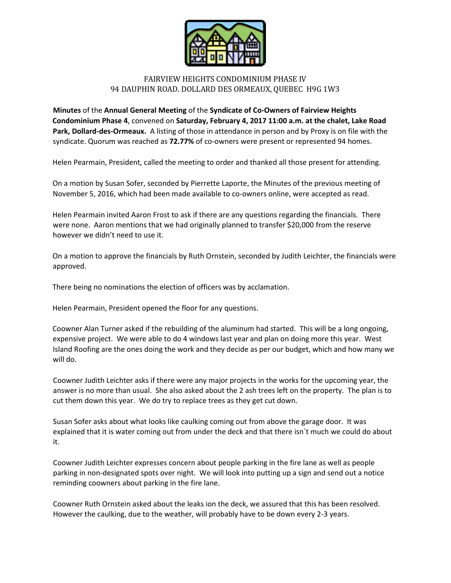

## FAIRVIEW HEIGHTS CONDOMINIUM PHASE IV 94 DAUPHIN ROAD. DOLLARD DES ORMEAUX, QUEBEC H9G 1W3

**Minutes** of the **Annual General Meeting** of the **Syndicate of Co-Owners of Fairview Heights Condominium Phase 4**, convened on **Saturday, February 4, 2017 11:00 a.m. at the chalet, Lake Road Park, Dollard-des-Ormeaux.** A listing of those in attendance in person and by Proxy is on file with the syndicate. Quorum was reached as **72.77%** of co-owners were present or represented 94 homes.

Helen Pearmain, President, called the meeting to order and thanked all those present for attending.

On a motion by Susan Sofer, seconded by Pierrette Laporte, the Minutes of the previous meeting of November 5, 2016, which had been made available to co-owners online, were accepted as read.

Helen Pearmain invited Aaron Frost to ask if there are any questions regarding the financials. There were none. Aaron mentions that we had originally planned to transfer \$20,000 from the reserve however we didn't need to use it.

On a motion to approve the financials by Ruth Ornstein, seconded by Judith Leichter, the financials were approved.

There being no nominations the election of officers was by acclamation.

Helen Pearmain, President opened the floor for any questions.

Coowner Alan Turner asked if the rebuilding of the aluminum had started. This will be a long ongoing, expensive project. We were able to do 4 windows last year and plan on doing more this year. West Island Roofing are the ones doing the work and they decide as per our budget, which and how many we will do.

Coowner Judith Leichter asks if there were any major projects in the works for the upcoming year, the answer is no more than usual. She also asked about the 2 ash trees left on the property. The plan is to cut them down this year. We do try to replace trees as they get cut down.

Susan Sofer asks about what looks like caulking coming out from above the garage door. It was explained that it is water coming out from under the deck and that there isn`t much we could do about it.

Coowner Judith Leichter expresses concern about people parking in the fire lane as well as people parking in non-designated spots over night. We will look into putting up a sign and send out a notice reminding coowners about parking in the fire lane.

Coowner Ruth Ornstein asked about the leaks ion the deck, we assured that this has been resolved. However the caulking, due to the weather, will probably have to be down every 2-3 years.